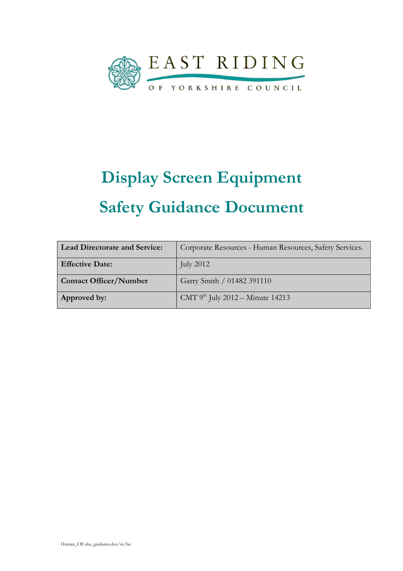

# Display Screen Equipment Safety Guidance Document

| <b>Lead Directorate and Service:</b> | Corporate Resources - Human Resources, Safety Services. |
|--------------------------------------|---------------------------------------------------------|
| <b>Effective Date:</b>               | July $2012$                                             |
| <b>Contact Officer/Number</b>        | Garry Smith / 01482 391110                              |
| Approved by:                         | CMT $9^{th}$ July 2012 – Minute 14213                   |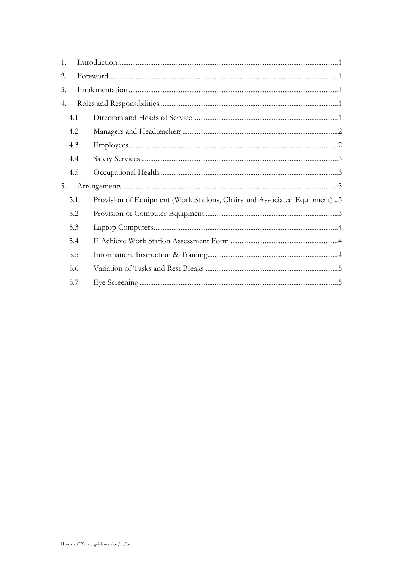| 1. |     |                                                                           |  |
|----|-----|---------------------------------------------------------------------------|--|
| 2. |     |                                                                           |  |
| 3. |     |                                                                           |  |
| 4. |     |                                                                           |  |
|    | 4.1 |                                                                           |  |
|    | 4.2 |                                                                           |  |
|    | 4.3 |                                                                           |  |
|    | 4.4 |                                                                           |  |
|    | 4.5 |                                                                           |  |
| 5. |     |                                                                           |  |
|    | 5.1 | Provision of Equipment (Work Stations, Chairs and Associated Equipment) 3 |  |
|    | 5.2 |                                                                           |  |
|    | 5.3 |                                                                           |  |
|    | 5.4 |                                                                           |  |
|    | 5.5 |                                                                           |  |
|    | 5.6 |                                                                           |  |
|    | 5.7 |                                                                           |  |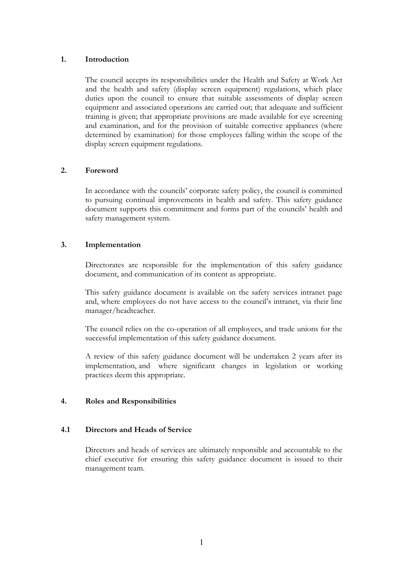# 1. Introduction

The council accepts its responsibilities under the Health and Safety at Work Act and the health and safety (display screen equipment) regulations, which place duties upon the council to ensure that suitable assessments of display screen equipment and associated operations are carried out; that adequate and sufficient training is given; that appropriate provisions are made available for eye screening and examination, and for the provision of suitable corrective appliances (where determined by examination) for those employees falling within the scope of the display screen equipment regulations.

#### 2. Foreword

In accordance with the councils' corporate safety policy, the council is committed to pursuing continual improvements in health and safety. This safety guidance document supports this commitment and forms part of the councils' health and safety management system.

#### 3. Implementation

 Directorates are responsible for the implementation of this safety guidance document, and communication of its content as appropriate.

This safety guidance document is available on the safety services intranet page and, where employees do not have access to the council's intranet, via their line manager/headteacher.

 The council relies on the co-operation of all employees, and trade unions for the successful implementation of this safety guidance document.

A review of this safety guidance document will be undertaken 2 years after its implementation, and where significant changes in legislation or working practices deem this appropriate.

# 4. Roles and Responsibilities

#### 4.1 Directors and Heads of Service

Directors and heads of services are ultimately responsible and accountable to the chief executive for ensuring this safety guidance document is issued to their management team.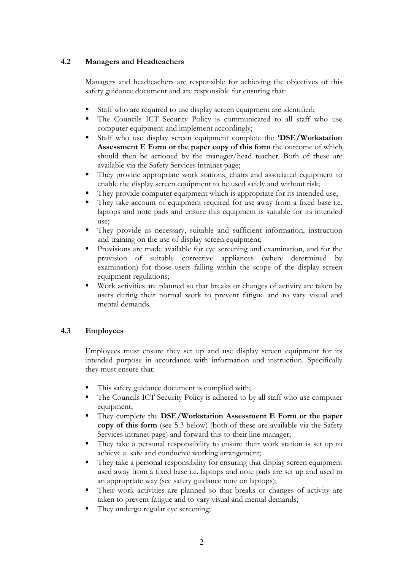# 4.2 Managers and Headteachers

 Managers and headteachers are responsible for achieving the objectives of this safety guidance document and are responsible for ensuring that:

- Staff who are required to use display screen equipment are identified;
- The Councils ICT Security Policy is communicated to all staff who use computer equipment and implement accordingly;
- Staff who use display screen equipment complete the 'DSE/Workstation Assessment E Form or the paper copy of this form the outcome of which should then be actioned by the manager/head teacher. Both of these are available via the Safety Services intranet page;
- They provide appropriate work stations, chairs and associated equipment to enable the display screen equipment to be used safely and without risk;
- They provide computer equipment which is appropriate for its intended use;
- They take account of equipment required for use away from a fixed base i.e. laptops and note pads and ensure this equipment is suitable for its intended use;
- They provide as necessary, suitable and sufficient information, instruction and training on the use of display screen equipment;
- Provisions are made available for eye screening and examination, and for the provision of suitable corrective appliances (where determined by examination) for those users falling within the scope of the display screen equipment regulations;
- Work activities are planned so that breaks or changes of activity are taken by users during their normal work to prevent fatigue and to vary visual and mental demands.

# 4.3 Employees

Employees must ensure they set up and use display screen equipment for its intended purpose in accordance with information and instruction. Specifically they must ensure that:

- This safety guidance document is complied with;
- The Councils ICT Security Policy is adhered to by all staff who use computer equipment;
- **They complete the DSE/Workstation Assessment E Form or the paper** copy of this form (see 5.3 below) (both of these are available via the Safety Services intranet page) and forward this to their line manager;
- They take a personal responsibility to ensure their work station is set up to achieve a safe and conducive working arrangement;
- They take a personal responsibility for ensuring that display screen equipment used away from a fixed base i.e. laptops and note pads are set up and used in an appropriate way (see safety guidance note on laptops);
- Their work activities are planned so that breaks or changes of activity are taken to prevent fatigue and to vary visual and mental demands;
- They undergo regular eye screening;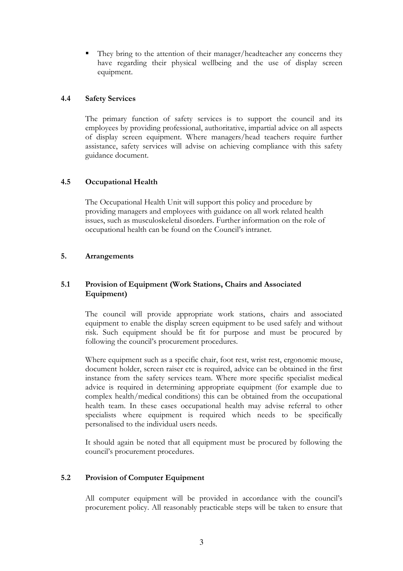They bring to the attention of their manager/headteacher any concerns they have regarding their physical wellbeing and the use of display screen equipment.

# 4.4 Safety Services

The primary function of safety services is to support the council and its employees by providing professional, authoritative, impartial advice on all aspects of display screen equipment. Where managers/head teachers require further assistance, safety services will advise on achieving compliance with this safety guidance document.

# 4.5 Occupational Health

 The Occupational Health Unit will support this policy and procedure by providing managers and employees with guidance on all work related health issues, such as musculoskeletal disorders. Further information on the role of occupational health can be found on the Council's intranet.

# 5. Arrangements

# 5.1 Provision of Equipment (Work Stations, Chairs and Associated Equipment)

The council will provide appropriate work stations, chairs and associated equipment to enable the display screen equipment to be used safely and without risk. Such equipment should be fit for purpose and must be procured by following the council's procurement procedures.

Where equipment such as a specific chair, foot rest, wrist rest, ergonomic mouse, document holder, screen raiser etc is required, advice can be obtained in the first instance from the safety services team. Where more specific specialist medical advice is required in determining appropriate equipment (for example due to complex health/medical conditions) this can be obtained from the occupational health team. In these cases occupational health may advise referral to other specialists where equipment is required which needs to be specifically personalised to the individual users needs.

It should again be noted that all equipment must be procured by following the council's procurement procedures.

# 5.2 Provision of Computer Equipment

All computer equipment will be provided in accordance with the council's procurement policy. All reasonably practicable steps will be taken to ensure that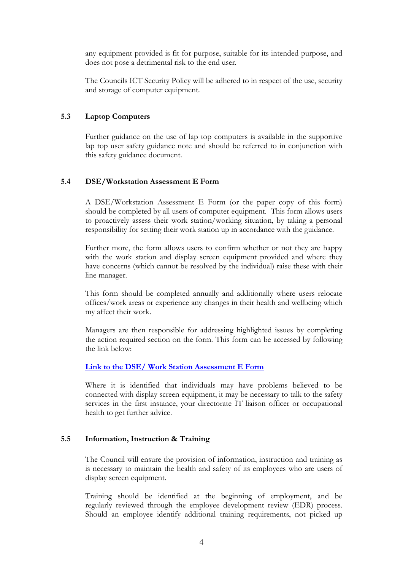any equipment provided is fit for purpose, suitable for its intended purpose, and does not pose a detrimental risk to the end user.

The Councils ICT Security Policy will be adhered to in respect of the use, security and storage of computer equipment.

# 5.3 Laptop Computers

Further guidance on the use of lap top computers is available in the supportive lap top user safety guidance note and should be referred to in conjunction with this safety guidance document.

# 5.4 DSE/Workstation Assessment E Form

A DSE/Workstation Assessment E Form (or the paper copy of this form) should be completed by all users of computer equipment. This form allows users to proactively assess their work station/working situation, by taking a personal responsibility for setting their work station up in accordance with the guidance.

Further more, the form allows users to confirm whether or not they are happy with the work station and display screen equipment provided and where they have concerns (which cannot be resolved by the individual) raise these with their line manager.

This form should be completed annually and additionally where users relocate offices/work areas or experience any changes in their health and wellbeing which my affect their work.

Managers are then responsible for addressing highlighted issues by completing the action required section on the form. This form can be accessed by following the link below:

# Link to the DSE/ Work Station Assessment E Form

Where it is identified that individuals may have problems believed to be connected with display screen equipment, it may be necessary to talk to the safety services in the first instance, your directorate IT liaison officer or occupational health to get further advice.

# 5.5 Information, Instruction & Training

The Council will ensure the provision of information, instruction and training as is necessary to maintain the health and safety of its employees who are users of display screen equipment.

Training should be identified at the beginning of employment, and be regularly reviewed through the employee development review (EDR) process. Should an employee identify additional training requirements, not picked up